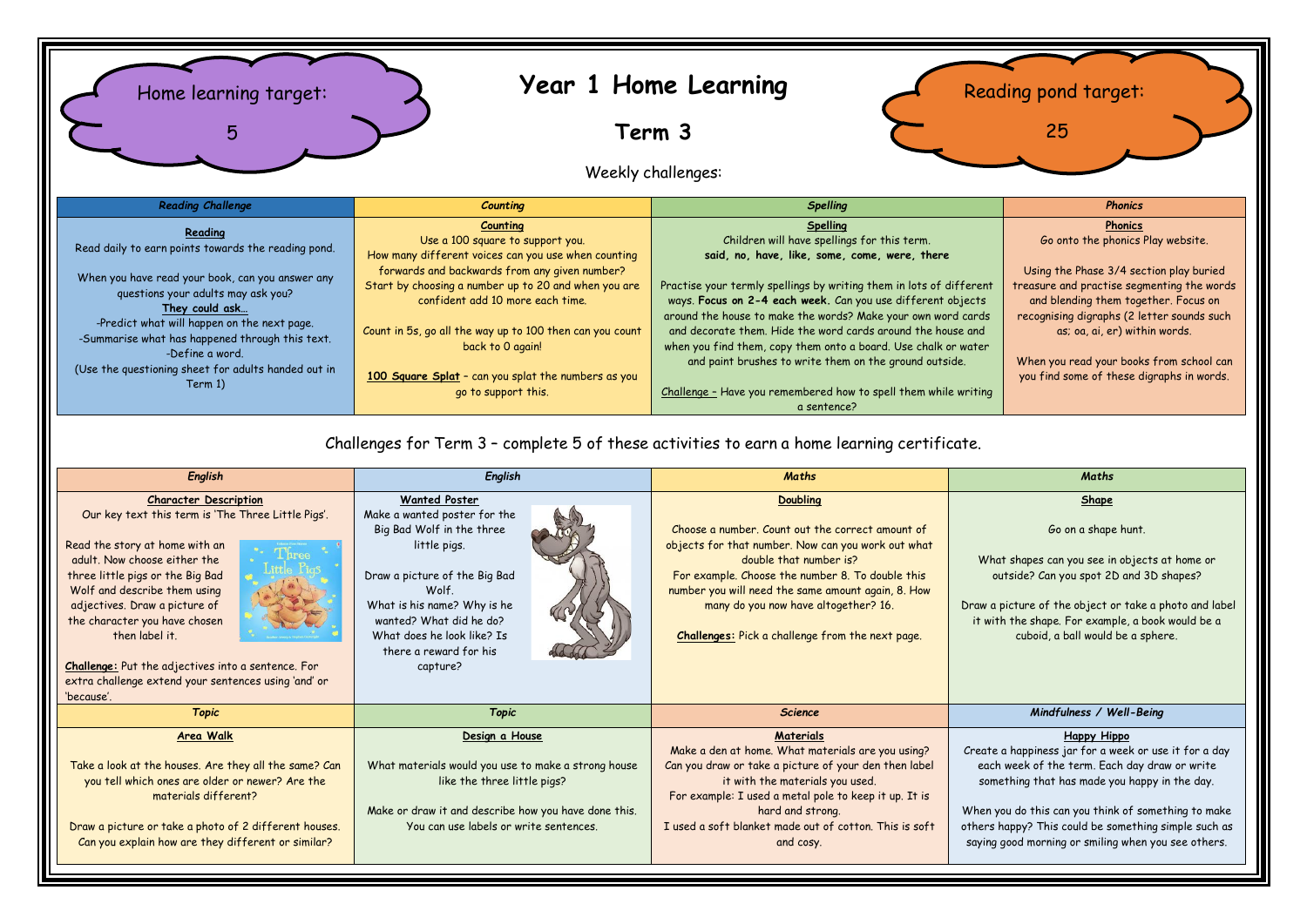

## Challenges for Term 3 – complete 5 of these activities to earn a home learning certificate.

| English                                                                                                                                                                                                                                                                                                                                                                                                                                  | English                                                                                                                                                                                                                                                                   | <b>Maths</b>                                                                                                                                                                                                                                                                                                                                              | Maths                                                                                                                                                                                                                                                                                                                                        |  |
|------------------------------------------------------------------------------------------------------------------------------------------------------------------------------------------------------------------------------------------------------------------------------------------------------------------------------------------------------------------------------------------------------------------------------------------|---------------------------------------------------------------------------------------------------------------------------------------------------------------------------------------------------------------------------------------------------------------------------|-----------------------------------------------------------------------------------------------------------------------------------------------------------------------------------------------------------------------------------------------------------------------------------------------------------------------------------------------------------|----------------------------------------------------------------------------------------------------------------------------------------------------------------------------------------------------------------------------------------------------------------------------------------------------------------------------------------------|--|
| <b>Character Description</b><br>Our key text this term is 'The Three Little Pigs'.<br>Read the story at home with an<br>adult. Now choose either the<br>three little pigs or the Big Bad<br>Wolf and describe them using<br>adjectives. Draw a picture of<br>the character you have chosen<br>then label it.<br>Challenge: Put the adjectives into a sentence. For<br>extra challenge extend your sentences using 'and' or<br>'because'. | <b>Wanted Poster</b><br>Make a wanted poster for the<br>Big Bad Wolf in the three<br>little pigs.<br>Draw a picture of the Big Bad<br>Wolf.<br>What is his name? Why is he<br>wanted? What did he do?<br>What does he look like? Is<br>there a reward for his<br>capture? | Doubling<br>Choose a number. Count out the correct amount of<br>objects for that number. Now can you work out what<br>double that number is?<br>For example. Choose the number 8. To double this<br>number you will need the same amount again, 8. How<br>many do you now have altogether? 16.<br><b>Challenges:</b> Pick a challenge from the next page. | Shape<br>Go on a shape hunt.<br>What shapes can you see in objects at home or<br>outside? Can you spot 2D and 3D shapes?<br>Draw a picture of the object or take a photo and label<br>it with the shape. For example, a book would be a<br>cuboid, a ball would be a sphere.                                                                 |  |
| <b>Topic</b>                                                                                                                                                                                                                                                                                                                                                                                                                             | <b>Topic</b>                                                                                                                                                                                                                                                              | <b>Science</b>                                                                                                                                                                                                                                                                                                                                            | Mindfulness / Well-Being                                                                                                                                                                                                                                                                                                                     |  |
| Area Walk<br>Take a look at the houses. Are they all the same? Can<br>you tell which ones are older or newer? Are the<br>materials different?<br>Draw a picture or take a photo of 2 different houses.<br>Can you explain how are they different or similar?                                                                                                                                                                             | Design a House<br>What materials would you use to make a strong house<br>like the three little pigs?<br>Make or draw it and describe how you have done this.<br>You can use labels or write sentences.                                                                    | Materials<br>Make a den at home. What materials are you using?<br>Can you draw or take a picture of your den then label<br>it with the materials you used.<br>For example: I used a metal pole to keep it up. It is<br>hard and strong.<br>I used a soft blanket made out of cotton. This is soft<br>and cosy.                                            | Happy Hippo<br>Create a happiness jar for a week or use it for a day<br>each week of the term. Each day draw or write<br>something that has made you happy in the day.<br>When you do this can you think of something to make<br>others happy? This could be something simple such as<br>saying good morning or smiling when you see others. |  |